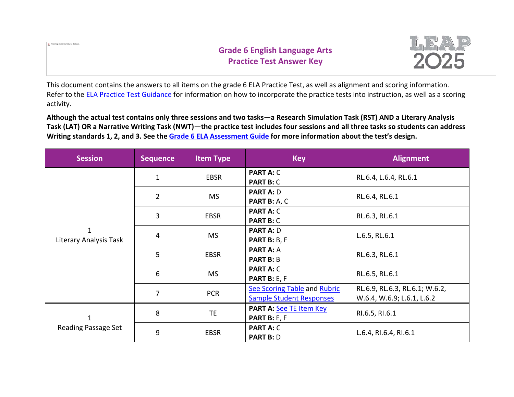# **Grade 6 English Language Arts Practice Test Answer Key**



This document contains the answers to all items on the grade 6 ELA Practice Test, as well as alignment and scoring information. Refer to the [ELA Practice Test Guidance](http://www.louisianabelieves.com/docs/default-source/assessment/leap-2025-ela-practice-test-guidance.docx?sfvrsn=5) for information on how to incorporate the practice tests into instruction, as well as a scoring activity.

This image cannot currently be displayed.

**Although the actual test contains only three sessions and two tasks—a Research Simulation Task (RST) AND a Literary Analysis Task (LAT) OR a Narrative Writing Task (NWT)—the practice test includes four sessions and all three tasks so students can address Writing standards 1, 2, and 3. See the Grade 6 [ELA Assessment Guide](http://www.louisianabelieves.com/docs/default-source/assessment-guidance/leap-2025-assessment-guide-for-grade-6-english-language-arts.pdf?sfvrsn=12) for more information about the test's design.**

| <b>Session</b>              | <b>Sequence</b> | <b>Item Type</b>                                    | <b>Key</b>                                                      | <b>Alignment</b>                                             |
|-----------------------------|-----------------|-----------------------------------------------------|-----------------------------------------------------------------|--------------------------------------------------------------|
|                             | $\mathbf{1}$    | <b>EBSR</b>                                         | <b>PART A: C</b><br><b>PART B: C</b>                            | RL.6.4, L.6.4, RL.6.1                                        |
|                             | $2^{\circ}$     | <b>MS</b>                                           | <b>PART A: D</b><br><b>PART B: A, C</b>                         | RL.6.4, RL.6.1                                               |
|                             | 3               | <b>PART A: C</b><br><b>EBSR</b><br><b>PART B: C</b> |                                                                 | RL.6.3, RL.6.1                                               |
| 1<br>Literary Analysis Task | $\overline{4}$  | <b>MS</b>                                           | <b>PART A: D</b><br>PART B: B, F                                | L.6.5, RL.6.1                                                |
|                             | 5               | <b>EBSR</b>                                         | <b>PART A: A</b><br><b>PART B: B</b>                            | RL.6.3, RL.6.1                                               |
|                             | 6               | <b>MS</b>                                           | <b>PART A: C</b><br>PART B: E, F                                | RL.6.5, RL.6.1                                               |
|                             | $\overline{7}$  | <b>PCR</b>                                          | See Scoring Table and Rubric<br><b>Sample Student Responses</b> | RL.6.9, RL.6.3, RL.6.1; W.6.2,<br>W.6.4, W.6.9; L.6.1, L.6.2 |
| 1                           | 8               | TE                                                  | PART A: See TE Item Key<br>PART B: E, F                         | RI.6.5, RI.6.1                                               |
| Reading Passage Set         | 9               | <b>EBSR</b>                                         | <b>PART A: C</b><br><b>PART B: D</b>                            | L.6.4, RI.6.4, RI.6.1                                        |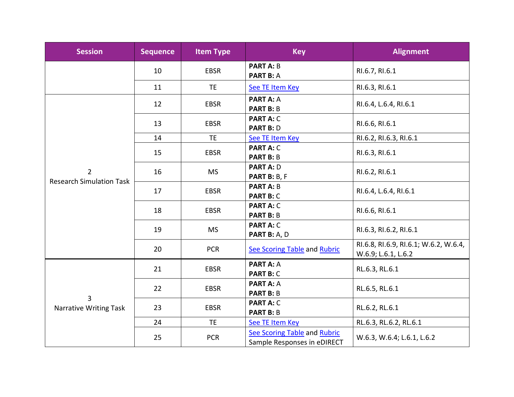| <b>Session</b>                                    | <b>Sequence</b> | <b>Item Type</b>                                                                                                                                                                                                                                                                                                                                                                                                                                                                                                                                 | <b>Key</b>                                                   | <b>Alignment</b>           |  |
|---------------------------------------------------|-----------------|--------------------------------------------------------------------------------------------------------------------------------------------------------------------------------------------------------------------------------------------------------------------------------------------------------------------------------------------------------------------------------------------------------------------------------------------------------------------------------------------------------------------------------------------------|--------------------------------------------------------------|----------------------------|--|
|                                                   | 10              | <b>EBSR</b>                                                                                                                                                                                                                                                                                                                                                                                                                                                                                                                                      | <b>PART A: B</b><br><b>PART B: A</b>                         | RI.6.7, RI.6.1             |  |
|                                                   | 11              | TE.<br>See TE Item Key<br><b>PART A: A</b><br><b>EBSR</b><br><b>PART B: B</b><br><b>PART A: C</b><br><b>EBSR</b><br><b>PART B: D</b><br><b>TE</b><br>See TE Item Key<br><b>PART A: C</b><br><b>EBSR</b><br><b>PART B: B</b><br><b>PART A: D</b><br><b>MS</b><br>PART B: B, F<br><b>PART A: B</b><br><b>EBSR</b><br><b>PART B: C</b><br><b>PART A: C</b><br>EBSR<br><b>PART B: B</b><br><b>PART A: C</b><br><b>MS</b><br>PART B: A, D<br><b>See Scoring Table and Rubric</b><br><b>PCR</b><br><b>PART A: A</b><br><b>EBSR</b><br><b>PART B: C</b> | RI.6.3, RI.6.1                                               |                            |  |
|                                                   | 12              |                                                                                                                                                                                                                                                                                                                                                                                                                                                                                                                                                  |                                                              | RI.6.4, L.6.4, RI.6.1      |  |
|                                                   | 13              | <b>PART A: A</b><br><b>EBSR</b><br><b>PART B: B</b>                                                                                                                                                                                                                                                                                                                                                                                                                                                                                              | RI.6.6, RI.6.1                                               |                            |  |
|                                                   | 14              |                                                                                                                                                                                                                                                                                                                                                                                                                                                                                                                                                  |                                                              | RI.6.2, RI.6.3, RI.6.1     |  |
|                                                   | 15              |                                                                                                                                                                                                                                                                                                                                                                                                                                                                                                                                                  |                                                              | RI.6.3, RI.6.1             |  |
| $\overline{2}$<br><b>Research Simulation Task</b> | 16              |                                                                                                                                                                                                                                                                                                                                                                                                                                                                                                                                                  |                                                              | RI.6.2, RI.6.1             |  |
|                                                   | 17              |                                                                                                                                                                                                                                                                                                                                                                                                                                                                                                                                                  |                                                              | RI.6.4, L.6.4, RI.6.1      |  |
|                                                   | 18              |                                                                                                                                                                                                                                                                                                                                                                                                                                                                                                                                                  |                                                              | RI.6.6, RI.6.1             |  |
|                                                   | 19              |                                                                                                                                                                                                                                                                                                                                                                                                                                                                                                                                                  |                                                              | RI.6.3, RI.6.2, RI.6.1     |  |
|                                                   | 20              |                                                                                                                                                                                                                                                                                                                                                                                                                                                                                                                                                  | RI.6.8, RI.6.9, RI.6.1; W.6.2, W.6.4,<br>W.6.9; L.6.1, L.6.2 |                            |  |
|                                                   | 21              |                                                                                                                                                                                                                                                                                                                                                                                                                                                                                                                                                  |                                                              | RL.6.3, RL.6.1             |  |
|                                                   | 22              |                                                                                                                                                                                                                                                                                                                                                                                                                                                                                                                                                  |                                                              | RL.6.5, RL.6.1             |  |
| 3<br>Narrative Writing Task                       | 23              | <b>EBSR</b>                                                                                                                                                                                                                                                                                                                                                                                                                                                                                                                                      | <b>PART A: C</b><br><b>PART B: B</b>                         | RL.6.2, RL.6.1             |  |
|                                                   | 24              | <b>TE</b>                                                                                                                                                                                                                                                                                                                                                                                                                                                                                                                                        | See TE Item Key                                              | RL.6.3, RL.6.2, RL.6.1     |  |
|                                                   | 25              | <b>PCR</b>                                                                                                                                                                                                                                                                                                                                                                                                                                                                                                                                       | See Scoring Table and Rubric<br>Sample Responses in eDIRECT  | W.6.3, W.6.4; L.6.1, L.6.2 |  |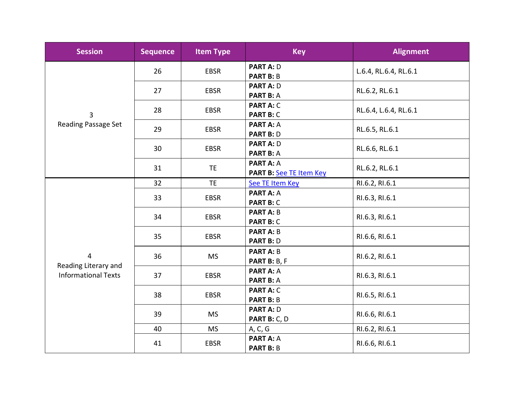| <b>Session</b>                         | <b>Sequence</b> | <b>Item Type</b>                                                                                                                                                                                                                                                                                                                                                                                                                                                                                                                                 | <b>Key</b>                           | <b>Alignment</b>      |
|----------------------------------------|-----------------|--------------------------------------------------------------------------------------------------------------------------------------------------------------------------------------------------------------------------------------------------------------------------------------------------------------------------------------------------------------------------------------------------------------------------------------------------------------------------------------------------------------------------------------------------|--------------------------------------|-----------------------|
|                                        | 26              | EBSR                                                                                                                                                                                                                                                                                                                                                                                                                                                                                                                                             | <b>PART A: D</b><br><b>PART B: B</b> | L.6.4, RL.6.4, RL.6.1 |
|                                        | 27              | <b>EBSR</b>                                                                                                                                                                                                                                                                                                                                                                                                                                                                                                                                      | <b>PART A: D</b><br><b>PART B: A</b> | RL.6.2, RL.6.1        |
| $\overline{3}$                         | 28              | <b>PART A: C</b><br>EBSR<br><b>PART B: C</b><br><b>PART A: A</b><br><b>EBSR</b><br><b>PART B: D</b><br><b>PART A: D</b><br><b>EBSR</b><br><b>PART B: A</b><br><b>PART A: A</b><br><b>TE</b><br><b>PART B: See TE Item Key</b><br>TE<br>See TE Item Key<br><b>PART A: A</b><br><b>EBSR</b><br><b>PART B: C</b><br><b>PART A: B</b><br><b>EBSR</b><br><b>PART B: C</b><br><b>PART A: B</b><br>EBSR<br><b>PART B: D</b><br><b>PART A: B</b><br><b>MS</b><br>PART B: B, F<br><b>PART A: A</b><br><b>EBSR</b><br><b>PART B: A</b><br><b>PART A: C</b> | RL.6.4, L.6.4, RL.6.1                |                       |
| Reading Passage Set                    | 29              |                                                                                                                                                                                                                                                                                                                                                                                                                                                                                                                                                  |                                      | RL.6.5, RL.6.1        |
|                                        | 30              |                                                                                                                                                                                                                                                                                                                                                                                                                                                                                                                                                  |                                      | RL.6.6, RL.6.1        |
|                                        | 31<br>32        |                                                                                                                                                                                                                                                                                                                                                                                                                                                                                                                                                  |                                      | RL.6.2, RL.6.1        |
|                                        |                 |                                                                                                                                                                                                                                                                                                                                                                                                                                                                                                                                                  |                                      | RI.6.2, RI.6.1        |
|                                        | 33              |                                                                                                                                                                                                                                                                                                                                                                                                                                                                                                                                                  |                                      | RI.6.3, RI.6.1        |
|                                        | 34              |                                                                                                                                                                                                                                                                                                                                                                                                                                                                                                                                                  |                                      | RI.6.3, RI.6.1        |
|                                        | 35              |                                                                                                                                                                                                                                                                                                                                                                                                                                                                                                                                                  |                                      | RI.6.6, RI.6.1        |
| $\overline{4}$<br>Reading Literary and | 36              |                                                                                                                                                                                                                                                                                                                                                                                                                                                                                                                                                  |                                      | RI.6.2, RI.6.1        |
| <b>Informational Texts</b>             | 37              |                                                                                                                                                                                                                                                                                                                                                                                                                                                                                                                                                  |                                      | RI.6.3, RI.6.1        |
|                                        | 38              | <b>EBSR</b>                                                                                                                                                                                                                                                                                                                                                                                                                                                                                                                                      | <b>PART B: B</b>                     | RI.6.5, RI.6.1        |
|                                        | 39              | <b>MS</b>                                                                                                                                                                                                                                                                                                                                                                                                                                                                                                                                        | <b>PART A: D</b><br>PART B: C, D     | RI.6.6, RI.6.1        |
|                                        | 40              | <b>MS</b>                                                                                                                                                                                                                                                                                                                                                                                                                                                                                                                                        | A, C, G                              | RI.6.2, RI.6.1        |
|                                        | 41              | <b>EBSR</b>                                                                                                                                                                                                                                                                                                                                                                                                                                                                                                                                      | <b>PART A: A</b><br><b>PART B: B</b> | RI.6.6, RI.6.1        |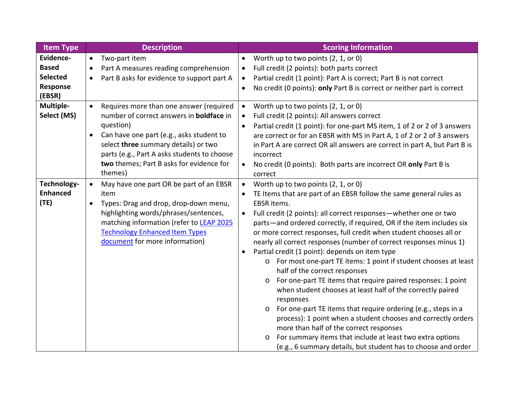| <b>Item Type</b>                                                          | <b>Description</b>                                                                                                                                                                                                                                                                                                          | <b>Scoring Information</b>                                                                                                                                                                                                                                                                                                                                                                                                                                                                                                                                                                                                                                                                                                                                                                                                                                                                                                                                                                                                                                                                    |
|---------------------------------------------------------------------------|-----------------------------------------------------------------------------------------------------------------------------------------------------------------------------------------------------------------------------------------------------------------------------------------------------------------------------|-----------------------------------------------------------------------------------------------------------------------------------------------------------------------------------------------------------------------------------------------------------------------------------------------------------------------------------------------------------------------------------------------------------------------------------------------------------------------------------------------------------------------------------------------------------------------------------------------------------------------------------------------------------------------------------------------------------------------------------------------------------------------------------------------------------------------------------------------------------------------------------------------------------------------------------------------------------------------------------------------------------------------------------------------------------------------------------------------|
| Evidence-<br><b>Based</b><br><b>Selected</b><br><b>Response</b><br>(EBSR) | Two-part item<br>$\bullet$<br>Part A measures reading comprehension<br>$\bullet$<br>Part B asks for evidence to support part A<br>$\bullet$                                                                                                                                                                                 | Worth up to two points (2, 1, or 0)<br>$\bullet$<br>Full credit (2 points): both parts correct<br>$\bullet$<br>Partial credit (1 point): Part A is correct; Part B is not correct<br>$\bullet$<br>No credit (0 points): only Part B is correct or neither part is correct                                                                                                                                                                                                                                                                                                                                                                                                                                                                                                                                                                                                                                                                                                                                                                                                                     |
| Multiple-<br>Select (MS)                                                  | Requires more than one answer (required<br>$\bullet$<br>number of correct answers in <b>boldface</b> in<br>question)<br>Can have one part (e.g., asks student to<br>$\bullet$<br>select three summary details) or two<br>parts (e.g., Part A asks students to choose<br>two themes; Part B asks for evidence for<br>themes) | Worth up to two points (2, 1, or 0)<br>$\bullet$<br>Full credit (2 points): All answers correct<br>Partial credit (1 point): for one-part MS item, 1 of 2 or 2 of 3 answers<br>$\bullet$<br>are correct or for an EBSR with MS in Part A, 1 of 2 or 2 of 3 answers<br>in Part A are correct OR all answers are correct in part A, but Part B is<br>incorrect<br>No credit (0 points): Both parts are incorrect OR only Part B is<br>$\bullet$<br>correct                                                                                                                                                                                                                                                                                                                                                                                                                                                                                                                                                                                                                                      |
| Technology-<br><b>Enhanced</b><br>(TE)                                    | May have one part OR be part of an EBSR<br>$\bullet$<br>item<br>Types: Drag and drop, drop-down menu,<br>$\bullet$<br>highlighting words/phrases/sentences,<br>matching information (refer to LEAP 2025<br><b>Technology Enhanced Item Types</b><br>document for more information)                                          | Worth up to two points (2, 1, or 0)<br>$\bullet$<br>TE Items that are part of an EBSR follow the same general rules as<br>EBSR items.<br>Full credit (2 points): all correct responses-whether one or two<br>$\bullet$<br>parts-and ordered correctly, if required, OR if the item includes six<br>or more correct responses, full credit when student chooses all or<br>nearly all correct responses (number of correct responses minus 1)<br>Partial credit (1 point): depends on item type<br>For most one-part TE items: 1 point if student chooses at least<br>O<br>half of the correct responses<br>For one-part TE items that require paired responses: 1 point<br>$\circ$<br>when student chooses at least half of the correctly paired<br>responses<br>For one-part TE items that require ordering (e.g., steps in a<br>$\circ$<br>process): 1 point when a student chooses and correctly orders<br>more than half of the correct responses<br>For summary items that include at least two extra options<br>$\circ$<br>(e.g., 6 summary details, but student has to choose and order |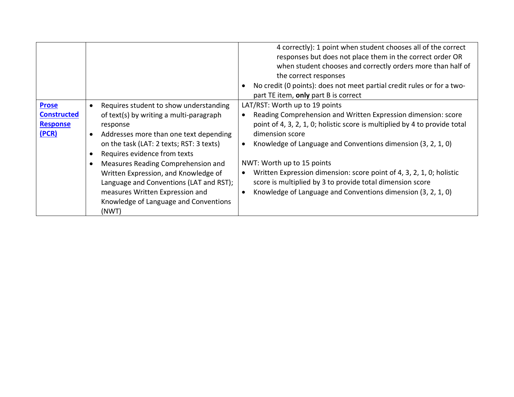|                                                                                               |                                                                                                                                                                                                                                                                                                                                                                                                                                   | 4 correctly): 1 point when student chooses all of the correct<br>responses but does not place them in the correct order OR<br>when student chooses and correctly orders more than half of<br>the correct responses<br>No credit (0 points): does not meet partial credit rules or for a two-<br>part TE item, only part B is correct                                                                                                                                                                |
|-----------------------------------------------------------------------------------------------|-----------------------------------------------------------------------------------------------------------------------------------------------------------------------------------------------------------------------------------------------------------------------------------------------------------------------------------------------------------------------------------------------------------------------------------|-----------------------------------------------------------------------------------------------------------------------------------------------------------------------------------------------------------------------------------------------------------------------------------------------------------------------------------------------------------------------------------------------------------------------------------------------------------------------------------------------------|
| <b>Prose</b><br>٠<br><b>Constructed</b><br><b>Response</b><br>(PCR)<br>$\bullet$<br>$\bullet$ | Requires student to show understanding<br>of text(s) by writing a multi-paragraph<br>response<br>Addresses more than one text depending<br>on the task (LAT: 2 texts; RST: 3 texts)<br>Requires evidence from texts<br>Measures Reading Comprehension and<br>Written Expression, and Knowledge of<br>Language and Conventions (LAT and RST);<br>measures Written Expression and<br>Knowledge of Language and Conventions<br>(NWT) | LAT/RST: Worth up to 19 points<br>Reading Comprehension and Written Expression dimension: score<br>point of 4, 3, 2, 1, 0; holistic score is multiplied by 4 to provide total<br>dimension score<br>Knowledge of Language and Conventions dimension (3, 2, 1, 0)<br>NWT: Worth up to 15 points<br>Written Expression dimension: score point of 4, 3, 2, 1, 0; holistic<br>score is multiplied by 3 to provide total dimension score<br>Knowledge of Language and Conventions dimension (3, 2, 1, 0) |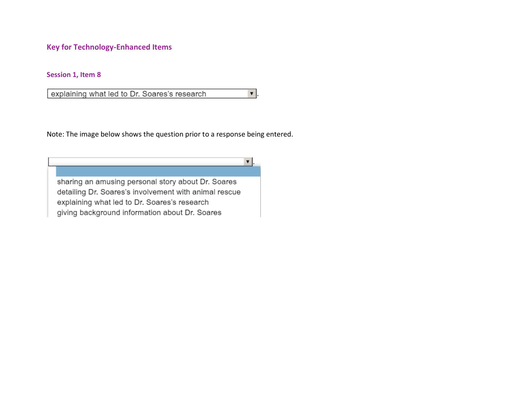**Key for Technology-Enhanced Items**

<span id="page-5-0"></span>**Session 1, Item 8**

explaining what led to Dr. Soares's research

Note: The image below shows the question prior to a response being entered.

 $\overline{\mathbf{v}}$ 

 $\mathbf{v}$ 

sharing an amusing personal story about Dr. Soares detailing Dr. Soares's involvement with animal rescue explaining what led to Dr. Soares's research giving background information about Dr. Soares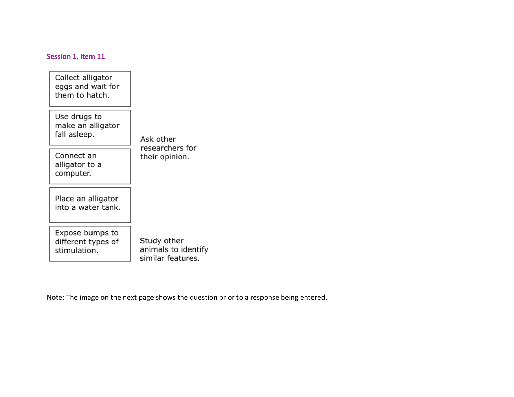## <span id="page-6-0"></span>**Session 1, Item 11**

| Collect alligator<br>eggs and wait for<br>them to hatch. |                                                         |
|----------------------------------------------------------|---------------------------------------------------------|
| Use drugs to<br>make an alligator<br>fall asleep.        | Ask other                                               |
| Connect an<br>alligator to a<br>computer.                | researchers for<br>their opinion.                       |
| Place an alligator<br>into a water tank.                 |                                                         |
| Expose bumps to<br>different types of<br>stimulation.    | Study other<br>animals to identify<br>similar features. |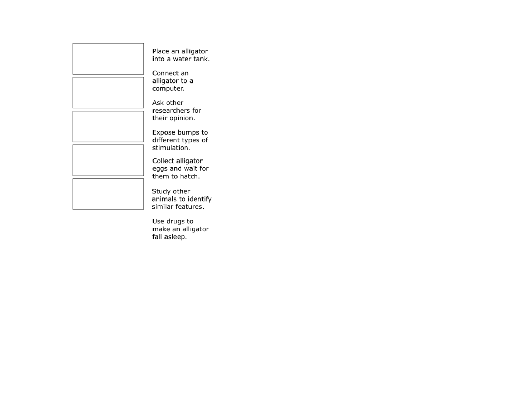

Place an alligator into a water tank.

Connect an alligator to a computer.

Ask other researchers for their opinion.

Expose bumps to different types of stimulation.

Collect alligator eggs and wait for them to hatch.

Study other animals to identify similar features.

Use drugs to make an alligator fall asleep.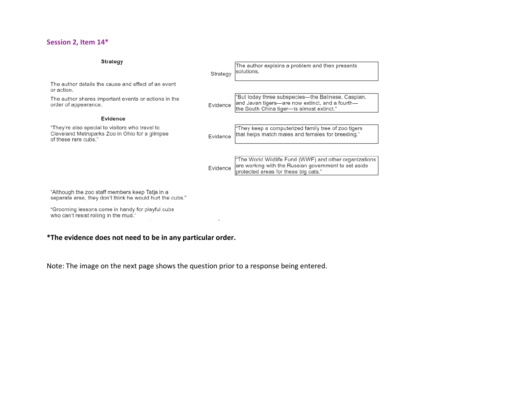### <span id="page-8-0"></span>**Session 2, Item 14\***

#### Strategy

The author explains a problem and then presents solutions. Strategy The author details the cause and effect of an event or action. "But today three subspecies-the Balinese, Caspian, The author shares important events or actions in the and Javan tigers-are now extinct, and a fourthorder of appearance. Evidence the South China tiger-is almost extinct." Evidence "They're also special to visitors who travel to 'They keep a computerized family tree of zoo tigers Cleveland Metroparks Zoo in Ohio for a glimpse that helps match males and females for breeding." Evidence of these rare cubs." "The World Wildlife Fund (WWF) and other organizations are working with the Russian government to set aside Evidence protected areas for these big cats."

"Although the zoo staff members keep Tatja in a separate area, they don't think he would hurt the cubs."

"Grooming lessons come in handy for playful cubs who can't resist rolling in the mud."

## **\*The evidence does not need to be in any particular order.**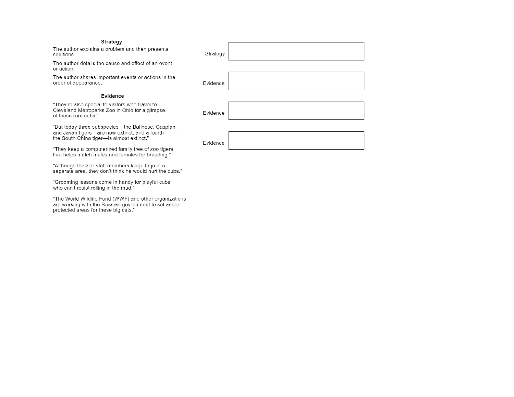#### Strategy

The author explains a problem and then presents solutions.

The author details the cause and effect of an event or action.

The author shares important events or actions in the order of appearance.

#### Evidence

"They're also special to visitors who travel to Cleveland Metroparks Zoo in Ohio for a glimpse of these rare cubs."

"But today three subspecies-the Balinese, Caspian, and Javan tigers—are now extinct, and a fourth—<br>the South China tiger—is almost extinct."

"They keep a computerized family tree of zoo tigers that helps match males and females for breeding."

"Although the zoo staff members keep Tatja in a separate area, they don't think he would hurt the cubs."

"Grooming lessons come in handy for playful cubs who can't resist rolling in the mud."

"The World Wildlife Fund (WWF) and other organizations are working with the Russian government to set aside protected areas for these big cats."

Strategy

Evidence

Evidence

Evidence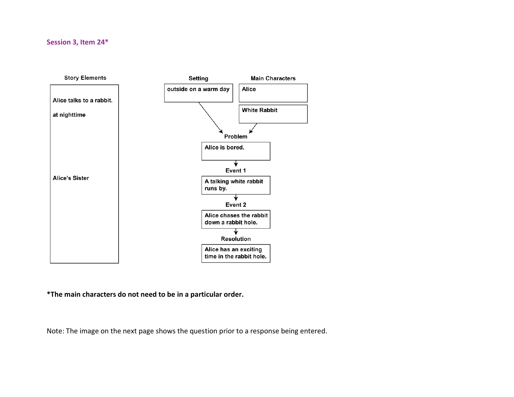## <span id="page-10-0"></span>**Session 3, Item 24\***



**\*The main characters do not need to be in a particular order.**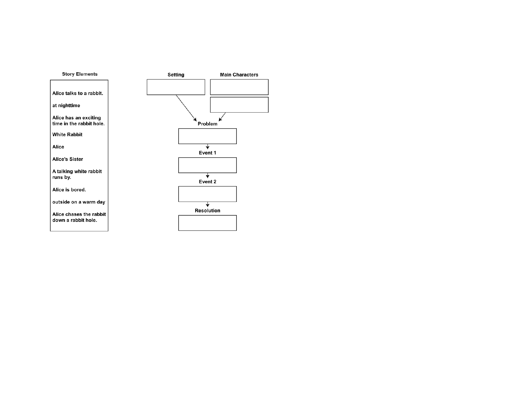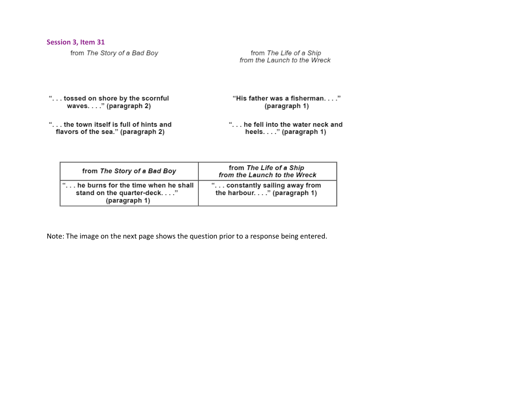## <span id="page-12-0"></span>**Session 3, Item 31**

from The Story of a Bad Boy

from The Life of a Ship from the Launch to the Wreck

"... tossed on shore by the scornful waves...." (paragraph 2)

"His father was a fisherman. . . ." (paragraph 1)

"... the town itself is full of hints and flavors of the sea." (paragraph 2)

"... he fell into the water neck and heels...." (paragraph 1)

| from The Story of a Bad Boy                                                        | from The Life of a Ship<br>from the Launch to the Wreck       |
|------------------------------------------------------------------------------------|---------------------------------------------------------------|
| he burns for the time when he shall<br>stand on the quarter-deck"<br>(paragraph 1) | ". constantly sailing away from<br>the harbour" (paragraph 1) |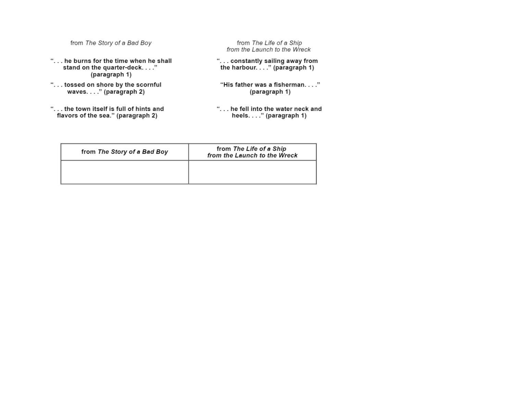| from The Story of a Bad Boy                                                          | from The Life of a Ship<br>from the Launch to the Wreck        |
|--------------------------------------------------------------------------------------|----------------------------------------------------------------|
| " he burns for the time when he shall<br>stand on the quarter-deck"<br>(paragraph 1) | ". constantly sailing away from<br>the harbour." (paragraph 1) |
| " tossed on shore by the scornful                                                    | "His father was a fisherman."                                  |
| waves" (paragraph 2)                                                                 | (paragraph 1)                                                  |
| " the town itself is full of hints and                                               | " he fell into the water neck and                              |
| flavors of the sea." (paragraph 2)                                                   | heels" (paragraph 1)                                           |

| from The Story of a Bad Boy | from The Life of a Ship<br>from the Launch to the Wreck |
|-----------------------------|---------------------------------------------------------|
|                             |                                                         |
|                             |                                                         |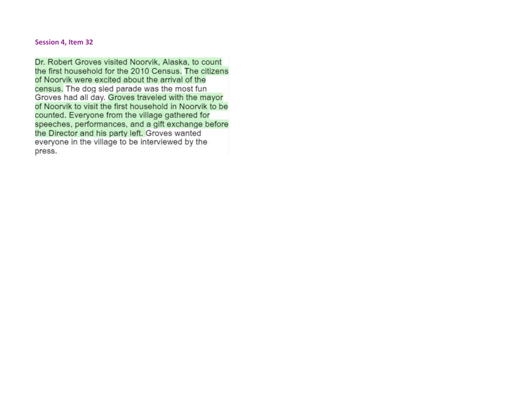<span id="page-14-0"></span>**Session 4, Item 32**

Dr. Robert Groves visited Noorvik, Alaska, to count the first household for the 2010 Census. The citizens of Noorvik were excited about the arrival of the census. The dog sled parade was the most fun Groves had all day. Groves traveled with the mayor of Noorvik to visit the first household in Noorvik to be counted. Everyone from the village gathered for speeches, performances, and a gift exchange before the Director and his party left. Groves wanted everyone in the village to be interviewed by the press.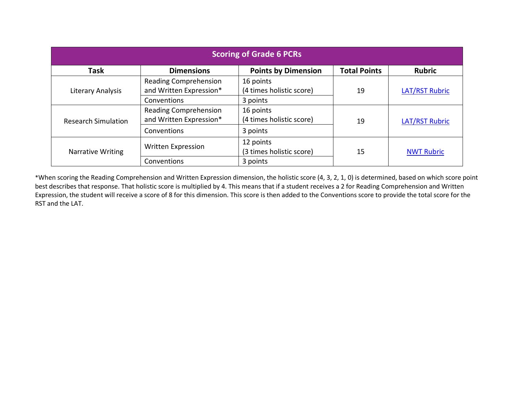<span id="page-15-0"></span>

| <b>Scoring of Grade 6 PCRs</b> |                                                         |                                                               |                     |                   |
|--------------------------------|---------------------------------------------------------|---------------------------------------------------------------|---------------------|-------------------|
| Task                           | <b>Dimensions</b>                                       | <b>Points by Dimension</b>                                    | <b>Total Points</b> | <b>Rubric</b>     |
| Literary Analysis              | <b>Reading Comprehension</b><br>and Written Expression* | 16 points<br>(4 times holistic score)                         | 19                  | LAT/RST Rubric    |
|                                | Conventions                                             | 3 points<br>16 points<br>(4 times holistic score)<br>3 points |                     |                   |
| <b>Research Simulation</b>     | <b>Reading Comprehension</b><br>and Written Expression* |                                                               | 19                  | LAT/RST Rubric    |
|                                | Conventions                                             |                                                               |                     |                   |
| Narrative Writing              | Written Expression                                      | 12 points<br>(3 times holistic score)                         | 15                  | <b>NWT Rubric</b> |
|                                | Conventions                                             | 3 points                                                      |                     |                   |

\*When scoring the Reading Comprehension and Written Expression dimension, the holistic score (4, 3, 2, 1, 0) is determined, based on which score point best describes that response. That holistic score is multiplied by 4. This means that if a student receives a 2 for Reading Comprehension and Written Expression, the student will receive a score of 8 for this dimension. This score is then added to the Conventions score to provide the total score for the RST and the LAT.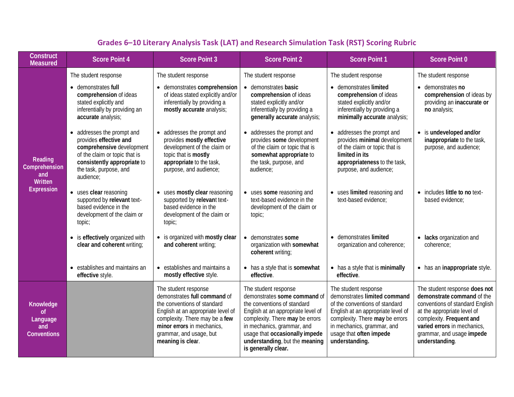<span id="page-16-0"></span>

| <b>Construct</b><br><b>Measured</b>                                 | <b>Score Point 4</b>                                                                                                                                                                     | <b>Score Point 3</b>                                                                                                                                                                                                                      | <b>Score Point 2</b>                                                                                                                                                                                                                                                                  | <b>Score Point 1</b>                                                                                                                                                                                                                       | <b>Score Point 0</b>                                                                                                                                                                                                                    |
|---------------------------------------------------------------------|------------------------------------------------------------------------------------------------------------------------------------------------------------------------------------------|-------------------------------------------------------------------------------------------------------------------------------------------------------------------------------------------------------------------------------------------|---------------------------------------------------------------------------------------------------------------------------------------------------------------------------------------------------------------------------------------------------------------------------------------|--------------------------------------------------------------------------------------------------------------------------------------------------------------------------------------------------------------------------------------------|-----------------------------------------------------------------------------------------------------------------------------------------------------------------------------------------------------------------------------------------|
|                                                                     | The student response                                                                                                                                                                     | The student response                                                                                                                                                                                                                      | The student response                                                                                                                                                                                                                                                                  | The student response                                                                                                                                                                                                                       | The student response                                                                                                                                                                                                                    |
| Reading<br>Comprehension<br>and<br>Written<br><b>Expression</b>     | • demonstrates full<br>comprehension of ideas<br>stated explicitly and<br>inferentially by providing an<br>accurate analysis;                                                            | • demonstrates comprehension<br>of ideas stated explicitly and/or<br>inferentially by providing a<br>mostly accurate analysis;                                                                                                            | • demonstrates basic<br>comprehension of ideas<br>stated explicitly and/or<br>inferentially by providing a<br>generally accurate analysis;                                                                                                                                            | • demonstrates limited<br>comprehension of ideas<br>stated explicitly and/or<br>inferentially by providing a<br>minimally accurate analysis;                                                                                               | • demonstrates no<br>comprehension of ideas by<br>providing an inaccurate or<br>no analysis;                                                                                                                                            |
|                                                                     | • addresses the prompt and<br>provides effective and<br>comprehensive development<br>of the claim or topic that is<br>consistently appropriate to<br>the task, purpose, and<br>audience; | • addresses the prompt and<br>provides mostly effective<br>development of the claim or<br>topic that is mostly<br>appropriate to the task,<br>purpose, and audience;                                                                      | • addresses the prompt and<br>provides some development<br>of the claim or topic that is<br>somewhat appropriate to<br>the task, purpose, and<br>audience;                                                                                                                            | • addresses the prompt and<br>provides minimal development<br>of the claim or topic that is<br>limited in its<br>appropriateness to the task,<br>purpose, and audience;                                                                    | • is undeveloped and/or<br>inappropriate to the task,<br>purpose, and audience;                                                                                                                                                         |
|                                                                     | • uses clear reasoning<br>supported by relevant text-<br>based evidence in the<br>development of the claim or<br>topic;                                                                  | • uses mostly clear reasoning<br>supported by relevant text-<br>based evidence in the<br>development of the claim or<br>topic;                                                                                                            | • uses some reasoning and<br>text-based evidence in the<br>development of the claim or<br>topic;                                                                                                                                                                                      | • uses limited reasoning and<br>text-based evidence:                                                                                                                                                                                       | • includes little to no text-<br>based evidence;                                                                                                                                                                                        |
|                                                                     | • is effectively organized with<br>clear and coherent writing;                                                                                                                           | • is organized with mostly clear<br>and coherent writing;                                                                                                                                                                                 | • demonstrates some<br>organization with somewhat<br>coherent writing;                                                                                                                                                                                                                | • demonstrates limited<br>organization and coherence;                                                                                                                                                                                      | • lacks organization and<br>coherence:                                                                                                                                                                                                  |
|                                                                     | • establishes and maintains an<br>effective style.                                                                                                                                       | • establishes and maintains a<br>mostly effective style.                                                                                                                                                                                  | • has a style that is somewhat<br>effective.                                                                                                                                                                                                                                          | • has a style that is minimally<br>effective.                                                                                                                                                                                              | • has an inappropriate style.                                                                                                                                                                                                           |
| Knowledge<br><sub>of</sub><br>Language<br>and<br><b>Conventions</b> |                                                                                                                                                                                          | The student response<br>demonstrates full command of<br>the conventions of standard<br>English at an appropriate level of<br>complexity. There may be a few<br>minor errors in mechanics,<br>grammar, and usage, but<br>meaning is clear. | The student response<br>demonstrates some command of<br>the conventions of standard<br>English at an appropriate level of<br>complexity. There may be errors<br>in mechanics, grammar, and<br>usage that occasionally impede<br>understanding, but the meaning<br>is generally clear. | The student response<br>demonstrates limited command<br>of the conventions of standard<br>English at an appropriate level of<br>complexity. There may be errors<br>in mechanics, grammar, and<br>usage that often impede<br>understanding. | The student response does not<br>demonstrate command of the<br>conventions of standard English<br>at the appropriate level of<br>complexity. Frequent and<br>varied errors in mechanics,<br>grammar, and usage impede<br>understanding. |

# **Grades 6–10 Literary Analysis Task (LAT) and Research Simulation Task (RST) Scoring Rubric**